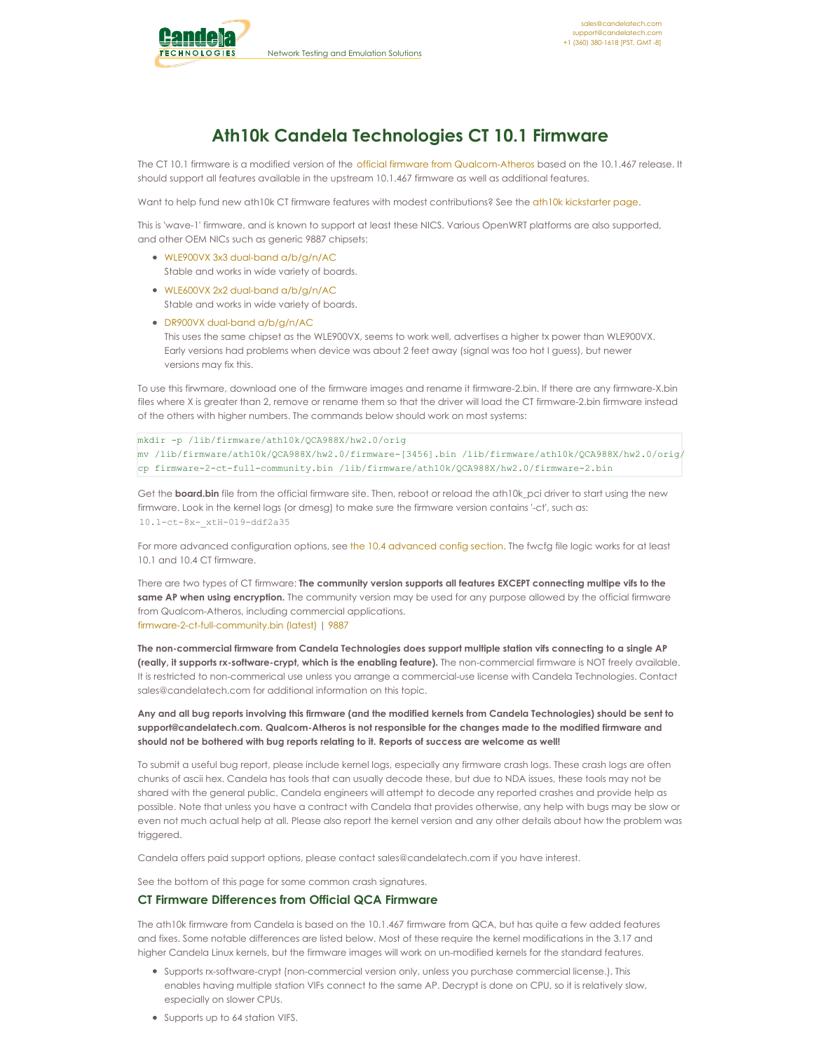

# **Ath10k Candela Technologies CT 10.1 Firmware**

The CT 10.1 firmware is a modified version of the official firmware from [Qualcom-Atheros](http://wireless.kernel.org/en/users/Drivers/ath10k/firmware) based on the 10.1.467 release. It should support all features available in the upstream 10.1.467 firmware as well as additional features.

Want to help fund new ath10k CT firmware features with modest contributions? See the ath10k [kickstarter](http://www.candelatech.com/ath10k_kickstarter.php) page.

This is 'wave-1' firmware, and is known to support at least these NICS. Various OpenWRT platforms are also supported, and other OEM NICs such as generic 9887 chipsets:

- WLE900VX 3x3 dual-band [a/b/g/n/AC](https://compex.com.sg/shop/wifi-module/802-11ac-wave-1/wle900vx/) Stable and works in wide variety of boards.
- WLE600VX 2x2 dual-band [a/b/g/n/AC](https://compex.com.sg/shop/wifi-module/802-11ac-wave-1/wle600vx/) Stable and works in wide variety of boards.
- DR900VX dual-band [a/b/g/n/AC](http://www.wallystech.com/kp/index/pro_detail/id/23.html) This uses the same chipset as the WLE900VX, seems to work well, advertises a higher tx power than WLE900VX. Early versions had problems when device was about 2 feet away (signal was too hot I guess), but newer versions may fix this.

To use this firwmare, download one of the firmware images and rename it firmware-2.bin. If there are any firmware-X.bin files where X is greater than 2, remove or rename them so that the driver will load the CT firmware-2.bin firmware instead of the others with higher numbers. The commands below should work on most systems:

mkdir -p /lib/firmware/ath10k/QCA988X/hw2.0/orig mv /lib/firmware/ath10k/QCA988X/hw2.0/firmware-[3456].bin /lib/firmware/ath10k/QCA988X/hw2.0/orig/ cp firmware-2-ct-full-community.bin /lib/firmware/ath10k/QCA988X/hw2.0/firmware-2.bin

Get the **board.bin** file from the official firmware site. Then, reboot or reload the ath10k pci driver to start using the new firmware. Look in the kernel logs (or dmesg) to make sure the firmware version contains '-ct', such as: 10.1-ct-8x-\_xtH-019-ddf2a35

For more [advanced](http://www.candelatech.com/ath10k-10.4.php#config) configuration options, see the 10.4 advanced config section. The fwcfg file logic works for at least 10.1 and 10.4 CT firmware.

There are two types of CT firmware: **The community version supports all features EXCEPT connecting multipe vifs to the same AP when using encryption.** The community version may be used for any purpose allowed by the official firmware from Qualcom-Atheros, including commercial applications. [firmware-2-ct-full-community.bin](http://www.candelatech.com/downloads/firmware-2-ct-full-community.bin) (latest) | [9887](http://www.candelatech.com/downloads/ath10k-9887/firmware-2-ct-full-community.bin)

The non-commercial firmware from Candela Technologies does support multiple station vifs connecting to a single AP **(really, it supports rx-software-crypt, which is the enabling feature).** The non-commercial firmware is NOT freely available. It is restricted to non-commerical use unless you arrange a commercial-use license with Candela Technologies. Contact sales@candelatech.com for additional information on this topic.

Any and all bug reports involving this firmware (and the modified kernels from Candela Technologies) should be sent to **support@candelatech.com. Qualcom-Atheros is not responsible for the changes made to the modified firmware and should not be bothered with bug reports relating to it. Reports of success are welcome as well!**

To submit a useful bug report, please include kernel logs, especially any firmware crash logs. These crash logs are often chunks of ascii hex. Candela has tools that can usually decode these, but due to NDA issues, these tools may not be shared with the general public. Candela engineers will attempt to decode any reported crashes and provide help as possible. Note that unless you have a contract with Candela that provides otherwise, any help with bugs may be slow or even not much actual help at all. Please also report the kernel version and any other details about how the problem was triggered.

Candela offers paid support options, please contact sales@candelatech.com if you have interest.

See the bottom of this page for some common crash signatures.

# **CT Firmware Differences from Official QCA Firmware**

The ath10k firmware from Candela is based on the 10.1.467 firmware from QCA, but has quite a few added features and fixes. Some notable differences are listed below. Most of these require the kernel modifications in the 3.17 and higher Candela Linux kernels, but the firmware images will work on un-modified kernels for the standard features.

- Supports rx-software-crypt (non-commercial version only, unless you purchase commercial license.). This enables having multiple station VIFs connect to the same AP. Decrypt is done on CPU, so it is relatively slow, especially on slower CPUs.
- Supports up to 64 station VIFS.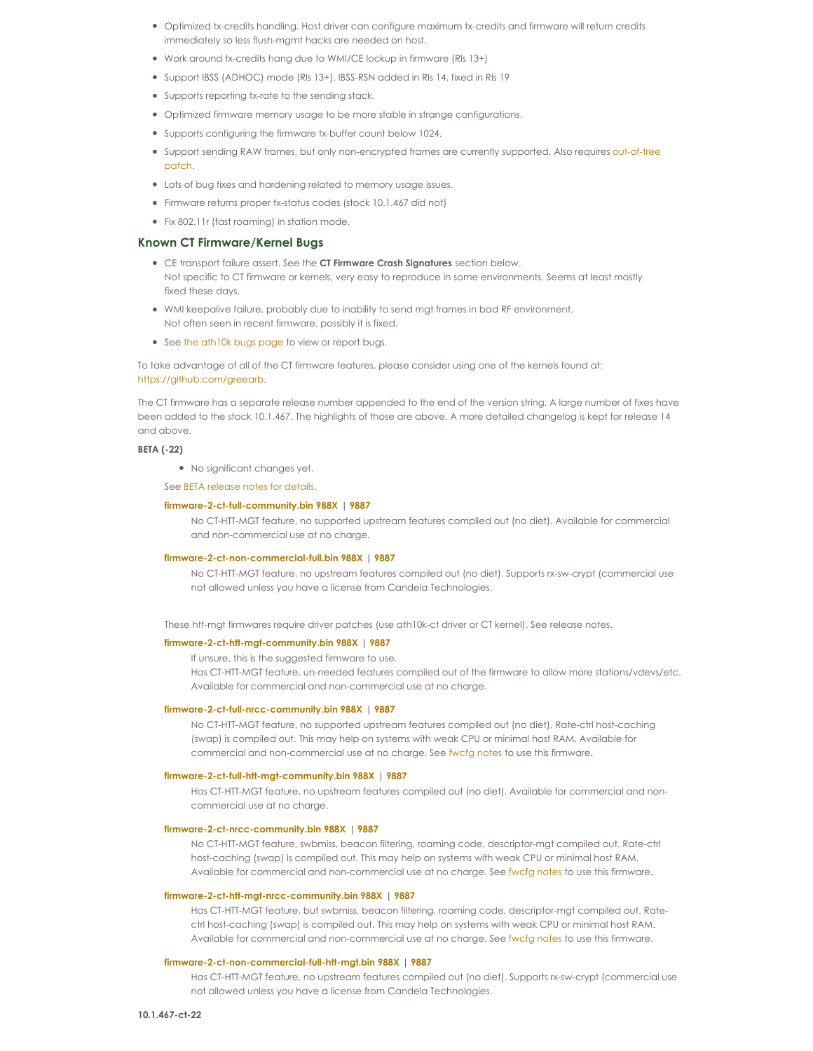- Optimized tx-credits handling. Host driver can configure maximum tx-credits and firmware will return credits immediately so less flush-mgmt hacks are needed on host.
- Work around tx-credits hang due to WMI/CE lockup in firmware (Rls 13+)
- Support IBSS (ADHOC) mode (Rls 13+). IBSS-RSN added in Rls 14, fixed in Rls 19
- Supports reporting tx-rate to the sending stack.
- Optimized firmware memory usage to be more stable in strange configurations.
- Supports configuring the firmware tx-buffer count below 1024.
- . Support sending RAW frames, but only [non-encrypted](http://comments.gmane.org/gmane.linux.drivers.ath10k.devel/246) frames are currently supported. Also requires out-of-tree patch.
- Lots of bug fixes and hardening related to memory usage issues.
- Firmware returns proper tx-status codes (stock 10.1.467 did not)
- Fix 802.11r (fast roaming) in station mode.

# **Known CT Firmware/Kernel Bugs**

- CE transport failure assert. See the **CT Firmware Crash Signatures** section below. Not specific to CT firmware or kernels, very easy to reproduce in some environments. Seems at least mostly fixed these days.
- WMI keepalive failure, probably due to inability to send mgt frames in bad RF environment. Not often seen in recent firmware, possibly it is fixed.
- See the [ath10k](http://www.candelatech.com/ath10k-bugs.php) bugs page to view or report bugs.

To take advantage of all of the CT firmware features, please consider using one of the kernels found at: <https://github.com/greearb>.

The CT firmware has a separate release number appended to the end of the version string. A large number of fixes have been added to the stock 10.1.467. The highlights of those are above. A more detailed changelog is kept for release 14 and above.

### **BETA (-22)**

No significant changes yet.

See BETA [release](http://www.candelatech.com/downloads/ath10k-fw-beta/release_notes.txt) notes for details.

### **[firmware-2-ct-full-community.bin](http://www.candelatech.com/downloads/ath10k-fw-beta/firmware-2-ct-full-community.bin) 988X | [9887](http://www.candelatech.com/downloads/ath10k-9887/ath10k-fw-beta/firmware-2-ct-full-community.bin)**

No CT-HTT-MGT feature, no supported upstream features compiled out (no diet). Available for commercial and non-commercial use at no charge.

#### **[firmware-2-ct-non-commercial-full.bin](http://www.candelatech.com/downloads/ath10k-fw-beta/firmware-2-ct-non-commercial-full.bin) 988X | [9887](http://www.candelatech.com/downloads/ath10k-9887/ath10k-fw-beta/firmware-2-ct-non-commercial-full.bin)**

No CT-HTT-MGT feature, no upstream features compiled out (no diet). Supports rx-sw-crypt (commercial use not allowed unless you have a license from Candela Technologies.

These htt-mgt firmwares require driver patches (use ath10k-ct driver or CT kernel). See release notes.

### **[firmware-2-ct-htt-mgt-community.bin](http://www.candelatech.com/downloads/ath10k-fw-beta/firmware-2-ct-htt-mgt-community.bin) 988X | [9887](http://www.candelatech.com/downloads/ath10k-9887/ath10k-fw-beta/firmware-2-ct-htt-mgt-community.bin)**

If unsure, this is the suggested firmware to use.

Has CT-HTT-MGT feature, un-needed features compiled out of the firmware to allow more stations/vdevs/etc. Available for commercial and non-commercial use at no charge.

#### **[firmware-2-ct-full-nrcc-community.bin](http://www.candelatech.com/downloads/ath10k-fw-beta/firmware-2-ct-full-nrcc-community.bin) 988X | [9887](http://www.candelatech.com/downloads/ath10k-9887/ath10k-fw-beta/firmware-2-ct-full-nrcc-community.bin)**

No CT-HTT-MGT feature, no supported upstream features compiled out (no diet), Rate-ctrl host-caching (swap) is compiled out. This may help on systems with weak CPU or minimal host RAM. Available for commercial and non-commercial use at no charge. See [fwcfg](http://www.candelatech.com/ath10k-10.4.php#config_nrcc) notes to use this firmware.

#### **[firmware-2-ct-full-htt-mgt-community.bin](http://www.candelatech.com/downloads/ath10k-fw-beta/firmware-2-ct-full-htt-mgt-community.bin) 988X | [9887](http://www.candelatech.com/downloads/ath10k-9887/ath10k-fw-beta/firmware-2-ct-full-htt-mgt-community.bin)**

Has CT-HTT-MGT feature, no upstream features compiled out (no diet). Available for commercial and noncommercial use at no charge.

#### **[firmware-2-ct-nrcc-community.bin](http://www.candelatech.com/downloads/ath10k-fw-beta/firmware-2-ct-nrcc-community.bin) 988X | [9887](http://www.candelatech.com/downloads/ath10k-9887/ath10k-fw-beta/firmware-2-ct-nrcc-community.bin)**

No CT-HTT-MGT feature, swbmiss, beacon filtering, roaming code, descriptor-mgt compiled out. Rate-ctrl host-caching (swap) is compiled out. This may help on systems with weak CPU or minimal host RAM. Available for commercial and non-commercial use at no charge. See [fwcfg](http://www.candelatech.com/ath10k-10.4.php#config_nrcc) notes to use this firmware.

### **[firmware-2-ct-htt-mgt-nrcc-community.bin](http://www.candelatech.com/downloads/ath10k-fw-beta/firmware-2-ct-htt-mgt-nrcc-community.bin) 988X | [9887](http://www.candelatech.com/downloads/ath10k-9887/ath10k-fw-beta/firmware-2-ct-htt-mgt-nrcc-community.bin)**

Has CT-HTT-MGT feature, but swbmiss, beacon filtering, roaming code, descriptor-mgt compiled out. Ratectrl host-caching (swap) is compiled out. This may help on systems with weak CPU or minimal host RAM. Available for commercial and non-commercial use at no charge. See [fwcfg](http://www.candelatech.com/ath10k-10.4.php#config_nrcc) notes to use this firmware.

### **[firmware-2-ct-non-commercial-full-htt-mgt.bin](http://www.candelatech.com/downloads/ath10k-fw-beta/firmware-2-ct-non-commercial-full-htt-mgt.bin) 988X | [9887](http://www.candelatech.com/downloads/ath10k-9887/ath10k-fw-beta/firmware-2-ct-non-commercial-full-htt-mgt.bin)**

Has CT-HTT-MGT feature, no upstream features compiled out (no diet). Supports rx-sw-crypt (commercial use not allowed unless you have a license from Candela Technologies.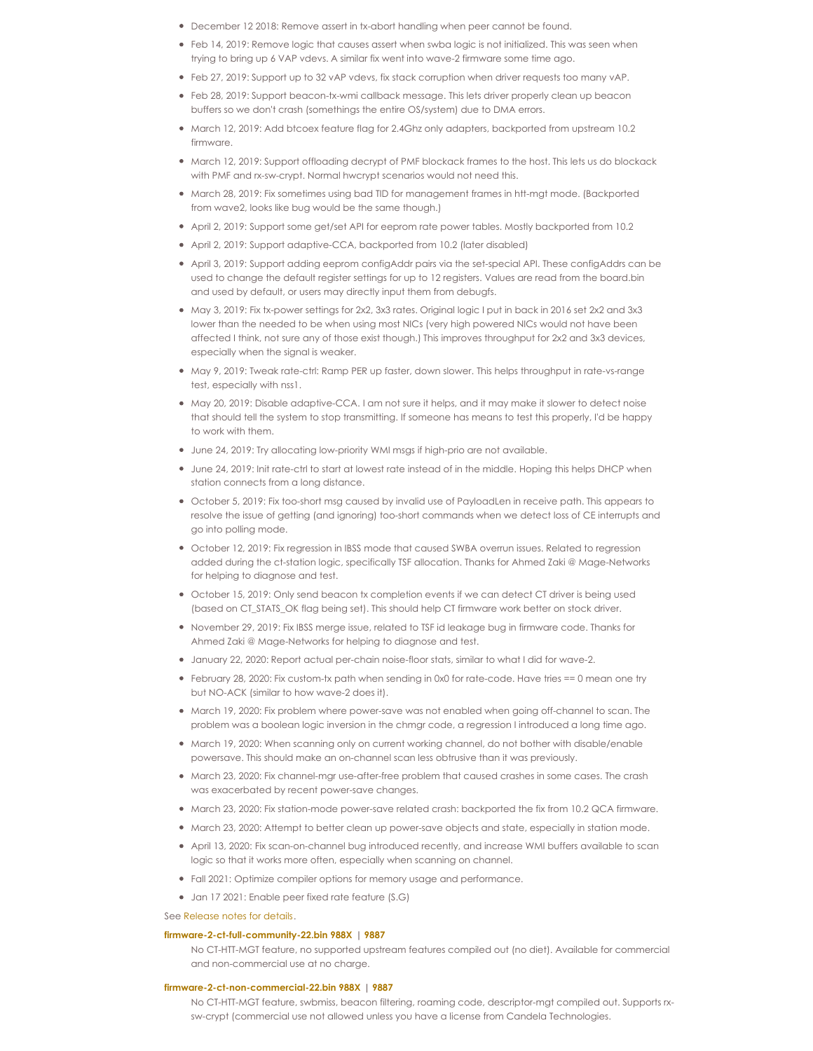- December 12 2018: Remove assert in tx-abort handling when peer cannot be found.
- Feb 14, 2019: Remove logic that causes assert when swba logic is not initialized. This was seen when trying to bring up 6 VAP vdevs. A similar fix went into wave-2 firmware some time ago.
- Feb 27, 2019: Support up to 32 vAP vdevs, fix stack corruption when driver requests too many vAP.
- Feb 28, 2019: Support beacon-tx-wmi callback message. This lets driver properly clean up beacon buffers so we don't crash (somethings the entire OS/system) due to DMA errors.
- $\bullet$  March 12, 2019: Add btcoex feature flag for 2.4Ghz only adapters, backported from upstream 10.2 firmware.
- March 12, 2019: Support offloading decrypt of PMF blockack frames to the host. This lets us do blockack with PMF and rx-sw-crypt. Normal hwcrypt scenarios would not need this.
- March 28, 2019: Fix sometimes using bad TID for management frames in htt-mgt mode. (Backported from wave2, looks like bug would be the same though.)
- April 2, 2019: Support some get/set API for eeprom rate power tables. Mostly backported from 10.2
- April 2, 2019: Support adaptive-CCA, backported from 10.2 (later disabled)
- April 3, 2019: Support adding eeprom configAddr pairs via the set-special API. These configAddrs can be used to change the default register settings for up to 12 registers. Values are read from the board.bin and used by default, or users may directly input them from debugfs.
- May 3, 2019: Fix tx-power settings for 2x2, 3x3 rates. Original logic I put in back in 2016 set 2x2 and 3x3 lower than the needed to be when using most NICs (very high powered NICs would not have been affected Ithink, not sure any of those exist though.) This improves throughput for 2x2 and 3x3 devices, especially when the signal is weaker.
- $M$ ay 9, 2019: Tweak rate-ctrl: Ramp PER up faster, down slower. This helps throughput in rate-vs-range test, especially with nss1.
- May 20, 2019: Disable adaptive-CCA. I am not sure it helps, and it may make it slower to detect noise that should tell the system to stop transmitting. If someone has means to test this properly, I'd be happy to work with them.
- June 24, 2019: Try allocating low-priority WMI msgs if high-prio are not available.
- June 24, 2019: Init rate-ctrl to start at lowest rate instead of in the middle. Hoping this helps DHCP when station connects from a long distance.
- October 5, 2019: Fix too-short msg caused by invalid use of PayloadLen in receive path. This appears to resolve the issue of getting (and ignoring) too-short commands when we detect loss of CE interrupts and go into polling mode.
- October 12, 2019: Fix regression in IBSS mode that caused SWBA overrun issues. Related to regression added during the ct-station logic, specifically TSF allocation. Thanks for Ahmed Zaki @ Mage-Networks for helping to diagnose and test.
- October 15, 2019: Only send beacon tx completion events if we can detect CT driver is being used (based on CT\_STATS\_OK flag being set). This should help CT firmware work better on stock driver.
- November 29, 2019: Fix IBSS merge issue, related to TSF id leakage bug in firmware code. Thanks for Ahmed Zaki @ Mage-Networks for helping to diagnose and test.
- January 22, 2020: Report actual per-chain noise-floor stats, similar to what I did for wave-2.
- February 28, 2020: Fix custom-tx path when sending in 0x0 for rate-code. Have tries == 0 mean one try but NO-ACK (similar to how wave-2 does it).
- March 19, 2020: Fix problem where power-save was not enabled when going off-channel to scan. The problem was a boolean logic inversion in the chmgr code, a regression Iintroduced a long time ago.
- March 19, 2020: When scanning only on current working channel, do not bother with disable/enable powersave. This should make an on-channel scan less obtrusive than it was previously.
- March 23, 2020: Fix channel-mgr use-after-free problem that caused crashes in some cases. The crash was exacerbated by recent power-save changes.
- March 23, 2020: Fix station-mode power-save related crash: backported the fix from 10.2 QCA firmware.
- March 23, 2020: Attempt to better clean up power-save objects and state, especially in station mode.
- April 13, 2020: Fix scan-on-channel bug introduced recently, and increase WMI buffers available to scan logic so that it works more often, especially when scanning on channel.
- Fall 2021: Optimize compiler options for memory usage and performance.
- Jan 17 2021: Enable peer fixed rate feature (S.G)

### See [Release](http://www.candelatech.com/downloads/ath10k_release_notes.txt) notes for details.

### **[firmware-2-ct-full-community-22.bin](http://www.candelatech.com/downloads/firmware-2-ct-full-community-22.bin) 988X | [9887](http://www.candelatech.com/downloads/ath10k-9887/firmware-2-ct-full-community-22.bin)**

No CT-HTT-MGT feature, no supported upstream features compiled out (no diet). Available for commercial and non-commercial use at no charge.

### **[firmware-2-ct-non-commercial-22.bin](http://www.candelatech.com/downloads/firmware-2-ct-non-commercial-22.bin) 988X | [9887](http://www.candelatech.com/downloads/ath10k-9887/firmware-2-ct-non-commercial-22.bin)**

No CT-HTT-MGT feature, swbmiss, beacon filtering, roaming code, descriptor-mgt compiled out. Supports rxsw-crypt (commercial use not allowed unless you have a license from Candela Technologies.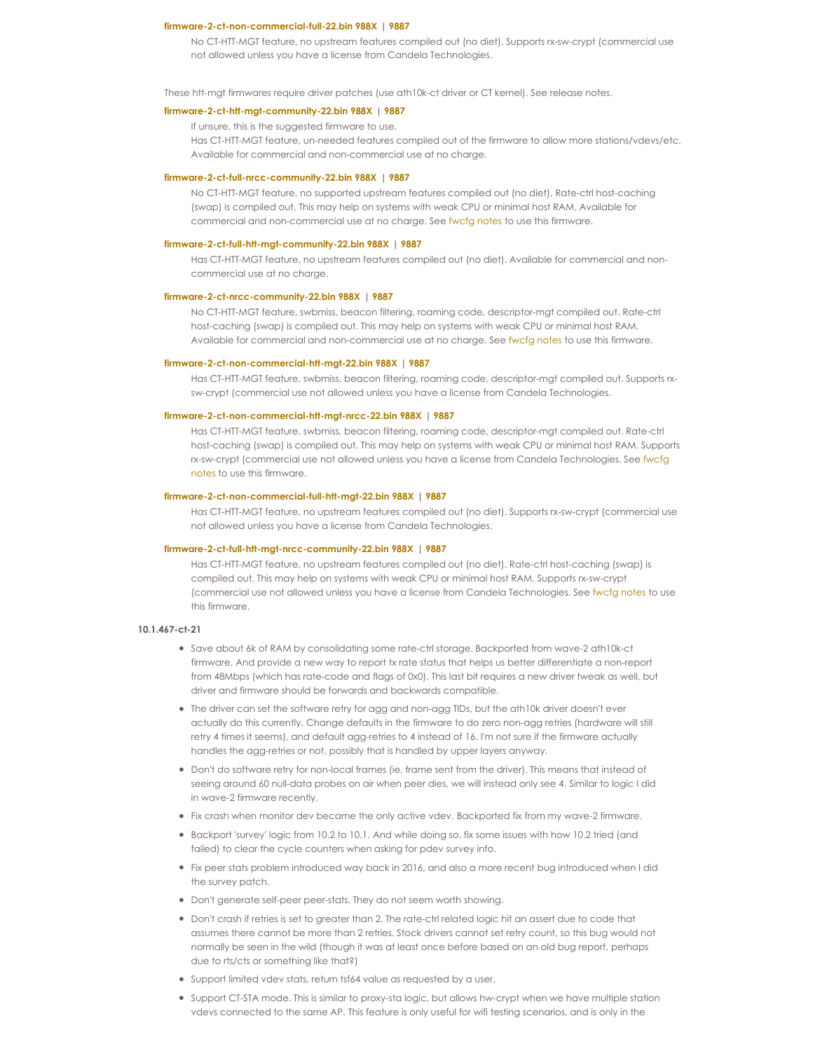#### **[firmware-2-ct-non-commercial-full-22.bin](http://www.candelatech.com/downloads/firmware-2-ct-non-commercial-full-22.bin) 988X | [9887](http://www.candelatech.com/downloads/ath10k-9887/firmware-2-ct-non-commercial-full-22.bin)**

No CT-HTT-MGT feature, no upstream features compiled out (no diet). Supports rx-sw-crypt (commercial use not allowed unless you have a license from Candela Technologies.

These htt-mgt firmwares require driver patches (use ath10k-ct driver or CT kernel). See release notes.

# **[firmware-2-ct-htt-mgt-community-22.bin](http://www.candelatech.com/downloads/firmware-2-ct-htt-mgt-community-22.bin) 988X | [9887](http://www.candelatech.com/downloads/ath10k-9887/firmware-2-ct-htt-mgt-community-22.bin)**

If unsure, this is the suggested firmware to use.

Has CT-HTT-MGT feature, un-needed features compiled out of the firmware to allow more stations/vdevs/etc. Available for commercial and non-commercial use at no charge.

#### **[firmware-2-ct-full-nrcc-community-22.bin](http://www.candelatech.com/downloads/firmware-2-ct-full-nrcc-community-22.bin) 988X | [9887](http://www.candelatech.com/downloads/ath10k-9887/firmware-2-ct-full-nrcc-community-22.bin)**

No CT-HTT-MGT feature, no supported upstream features compiled out (no diet), Rate-ctrl host-caching (swap) is compiled out. This may help on systems with weak CPU or minimal host RAM. Available for commercial and non-commercial use at no charge. See [fwcfg](http://www.candelatech.com/ath10k-10.4.php#config_nrcc) notes to use this firmware.

#### **[firmware-2-ct-full-htt-mgt-community-22.bin](http://www.candelatech.com/downloads/firmware-2-ct-full-htt-mgt-community-22.bin) 988X | [9887](http://www.candelatech.com/downloads/ath10k-9887/firmware-2-ct-full-htt-mgt-community-22.bin)**

Has CT-HTT-MGT feature, no upstream features compiled out (no diet). Available for commercial and noncommercial use at no charge.

### **[firmware-2-ct-nrcc-community-22.bin](http://www.candelatech.com/downloads/firmware-2-ct-nrcc-community-22.bin) 988X | [9887](http://www.candelatech.com/downloads/ath10k-9887/firmware-2-ct-nrcc-community-22.bin)**

No CT-HTT-MGT feature, swbmiss, beacon filtering, roaming code, descriptor-mgt compiled out. Rate-ctrl host-caching (swap) is compiled out. This may help on systems with weak CPU or minimal host RAM. Available for commercial and non-commercial use at no charge. See [fwcfg](http://www.candelatech.com/ath10k-10.4.php#config_nrcc) notes to use this firmware.

### **[firmware-2-ct-non-commercial-htt-mgt-22.bin](http://www.candelatech.com/downloads/firmware-2-ct-non-commercial-htt-mgt-22.bin) 988X | [9887](http://www.candelatech.com/downloads/ath10k-9887/firmware-2-ct-non-commercial-htt-mgt-22.bin)**

Has CT-HTT-MGT feature, swbmiss, beacon filtering, roaming code, descriptor-mgt compiled out. Supports rxsw-crypt (commercial use not allowed unless you have a license from Candela Technologies.

### **[firmware-2-ct-non-commercial-htt-mgt-nrcc-22.bin](http://www.candelatech.com/downloads/firmware-2-ct-non-commercial-htt-mgt-nrcc-22.bin) 988X | [9887](http://www.candelatech.com/downloads/ath10k-9887/firmware-2-ct-non-commercial-htt-mgt-nrcc-22.bin)**

Has CT-HTT-MGT feature, swbmiss, beacon filtering, roaming code, descriptor-mgt compiled out. Rate-ctrl host-caching (swap) is compiled out. This may help on systems with weak CPU or minimal host RAM. Supports rx-sw-crypt (commercial use not allowed unless you have a license from Candela [Technologies.](http://www.candelatech.com/ath10k-10.4.php#config_nrcc) See fwcfg notes to use this firmware.

### **[firmware-2-ct-non-commercial-full-htt-mgt-22.bin](http://www.candelatech.com/downloads/firmware-2-ct-non-commercial-full-htt-mgt-22.bin) 988X | [9887](http://www.candelatech.com/downloads/ath10k-9887/firmware-2-ct-non-commercial-full-htt-mgt-22.bin)**

Has CT-HTT-MGT feature, no upstream features compiled out (no diet). Supports rx-sw-crypt (commercial use not allowed unless you have a license from Candela Technologies.

#### **[firmware-2-ct-full-htt-mgt-nrcc-community-22.bin](http://www.candelatech.com/downloads/firmware-2-ct-full-htt-mgt-nrcc-community-22.bin) 988X | [9887](http://www.candelatech.com/downloads/ath10k-9887/firmware-2-ct-full-htt-mgt-nrcc-community-22.bin)**

Has CT-HTT-MGT feature, no upstream features compiled out (no diet). Rate-ctrl host-caching (swap) is compiled out. This may help on systems with weak CPU or minimal host RAM. Supports rx-sw-crypt (commercial use not allowed unless you have a license from Candela Technologies. See [fwcfg](http://www.candelatech.com/ath10k-10.4.php#config_nrcc) notes to use this firmware.

#### **10.1.467-ct-21**

- Save about 6k of RAM by consolidating some rate-ctrl storage. Backported from wave-2 ath10k-ct firmware. And provide a new way to report tx rate status that helps us better differentiate a non-report from 48Mbps (which has rate-code and flags of 0x0). This last bit requires a new driver tweak as well, but driver and firmware should be forwards and backwards compatible.
- The driver can set the software retry for agg and non-agg TIDs, but the ath10k driver doesn't ever actually do this currently. Change defaults in the firmware to do zero non-agg retries (hardware will still retry 4 times it seems), and default agg-retries to 4 instead of 16. I'm not sure if the firmware actually handles the agg-retries or not, possibly that is handled by upper layers anyway.
- Don't do software retry for non-local frames (ie, frame sent from the driver). This means that instead of seeing around 60 null-data probes on air when peer dies, we will instead only see 4. Similar to logic I did in wave-2 firmware recently.
- Fix crash when monitor dev became the only active vdev. Backported fix from my wave-2 firmware.
- Backport 'survey' logic from 10.2 to 10.1. And while doing so, fix some issues with how 10.2 tried (and failed) to clear the cycle counters when asking for pdev survey info.
- Fix peer stats problem introduced way back in 2016, and also a more recent bug introduced when I did the survey patch.
- Don't generate self-peer peer-stats. They do not seem worth showing.
- Don't crash if retries is set to greater than 2. The rate-ctrl related logic hit an assert due to code that assumes there cannot be more than 2 retries. Stock drivers cannot set retry count, so this bug would not normally be seen in the wild (though it was at least once before based on an old bug report, perhaps due to rts/cts or something like that?)
- Support limited vdev stats, return tsf64 value as requested by a user.
- Support CT-STA mode. This is similar to proxy-sta logic, but allows hw-crypt when we have multiple station vdevs connected to the same AP. This feature is only useful for wifi testing scenarios, and is only in the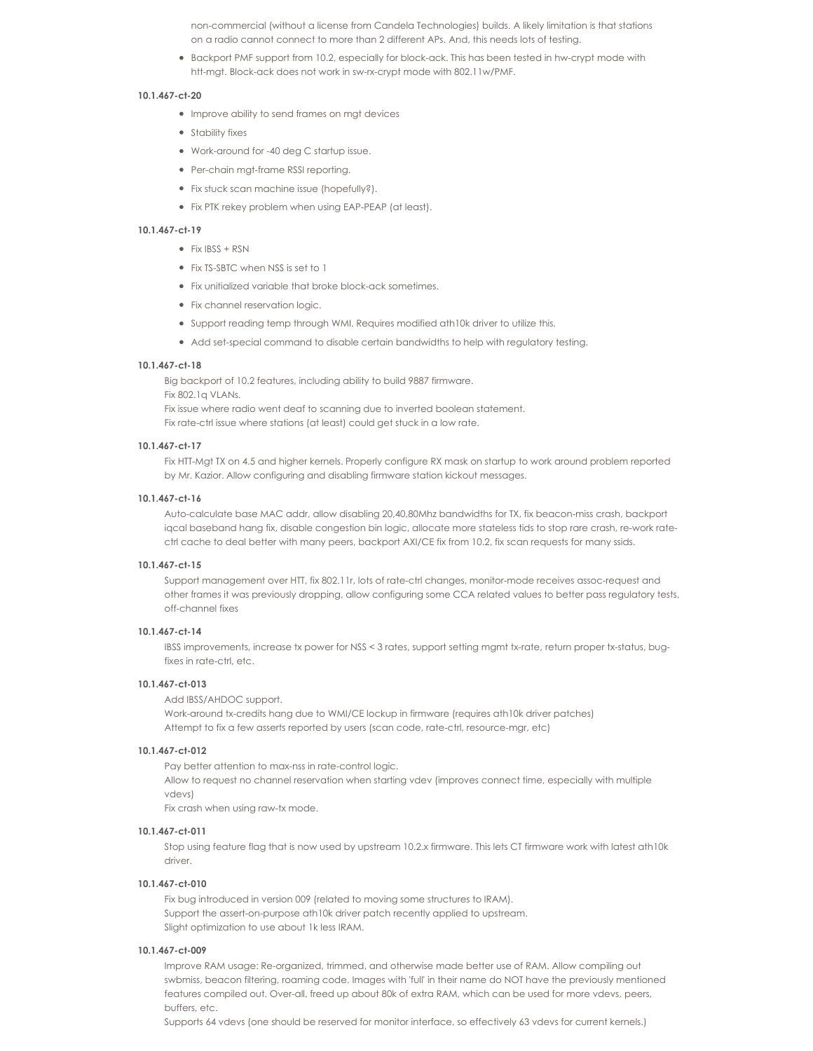non-commercial (without a license from Candela Technologies) builds. A likely limitation is that stations on a radio cannot connect to more than 2 different APs. And, this needs lots of testing.

Backport PMF support from 10.2, especially for block-ack. This has been tested in hw-crypt mode with htt-mgt. Block-ack does not work in sw-rx-crypt mode with 802.11w/PMF.

### **10.1.467-ct-20**

- Improve ability to send frames on mgt devices
- **•** Stability fixes
- Work-around for -40 deg C startup issue.
- Per-chain mgt-frame RSSI reporting.
- Fix stuck scan machine issue (hopefully?).
- Fix PTK rekey problem when using EAP-PEAP (at least).

#### **10.1.467-ct-19**

- $\bullet$  Fix IBSS + RSN
- Fix TS-SBTC when NSS is set to 1
- Fix unitialized variable that broke block-ack sometimes.
- Fix channel reservation logic.
- Support reading temp through WMI. Requires modified ath10k driver to utilize this.
- Add set-special command to disable certain bandwidths to help with regulatory testing.

# **10.1.467-ct-18**

Big backport of 10.2 features, including ability to build 9887 firmware.

Fix 802.1q VLANs.

Fix issue where radio went deaf to scanning due to inverted boolean statement.

Fix rate-ctrl issue where stations (at least) could get stuck in a low rate.

# **10.1.467-ct-17**

Fix HTT-Mgt TX on 4.5 and higher kernels. Properly configure RX mask on startup to work around problem reported by Mr. Kazior. Allow configuring and disabling firmware station kickout messages.

#### **10.1.467-ct-16**

Auto-calculate base MAC addr, allow disabling 20,40,80Mhz bandwidths for TX, fix beacon-miss crash, backport iqcal baseband hang fix, disable congestion bin logic, allocate more stateless tids to stop rare crash, re-work ratectrl cache to deal better with many peers, backport AXI/CE fix from 10.2, fix scan requests for many ssids.

### **10.1.467-ct-15**

Support management over HTT, fix 802.11r, lots of rate-ctrl changes, monitor-mode receives assoc-request and other frames it was previously dropping, allow configuring some CCA related values to better pass regulatory tests, off-channel fixes

### **10.1.467-ct-14**

IBSS improvements, increase tx power for NSS < 3 rates, support setting mgmt tx-rate, return proper tx-status, bugfixes in rate-ctrl, etc.

#### **10.1.467-ct-013**

Add IBSS/AHDOC support.

Work-around tx-credits hang due to WMI/CE lockup in firmware (requires ath10k driver patches) Attempt to fix a few asserts reported by users (scan code, rate-ctrl, resource-mgr, etc)

### **10.1.467-ct-012**

Pay better attention to max-nss in rate-control logic.

Allow to request no channel reservation when starting vdev (improves connect time, especially with multiple vdevs)

Fix crash when using raw-tx mode.

### **10.1.467-ct-011**

Stop using feature flag that is now used by upstream 10.2.x firmware. This lets CT firmware work with latest ath10k driver.

### **10.1.467-ct-010**

Fix bug introduced in version 009 (related to moving some structures to IRAM). Support the assert-on-purpose ath10k driver patch recently applied to upstream. Slight optimization to use about 1k less IRAM.

### **10.1.467-ct-009**

Improve RAM usage: Re-organized, trimmed, and otherwise made better use of RAM. Allow compiling out swbmiss, beacon filtering, roaming code. Images with 'full' in their name do NOT have the previously mentioned features compiled out. Over-all, freed up about 80k of extra RAM, which can be used for more vdevs, peers, buffers, etc.

Supports 64 vdevs (one should be reserved for monitor interface, so effectively 63 vdevs for current kernels.)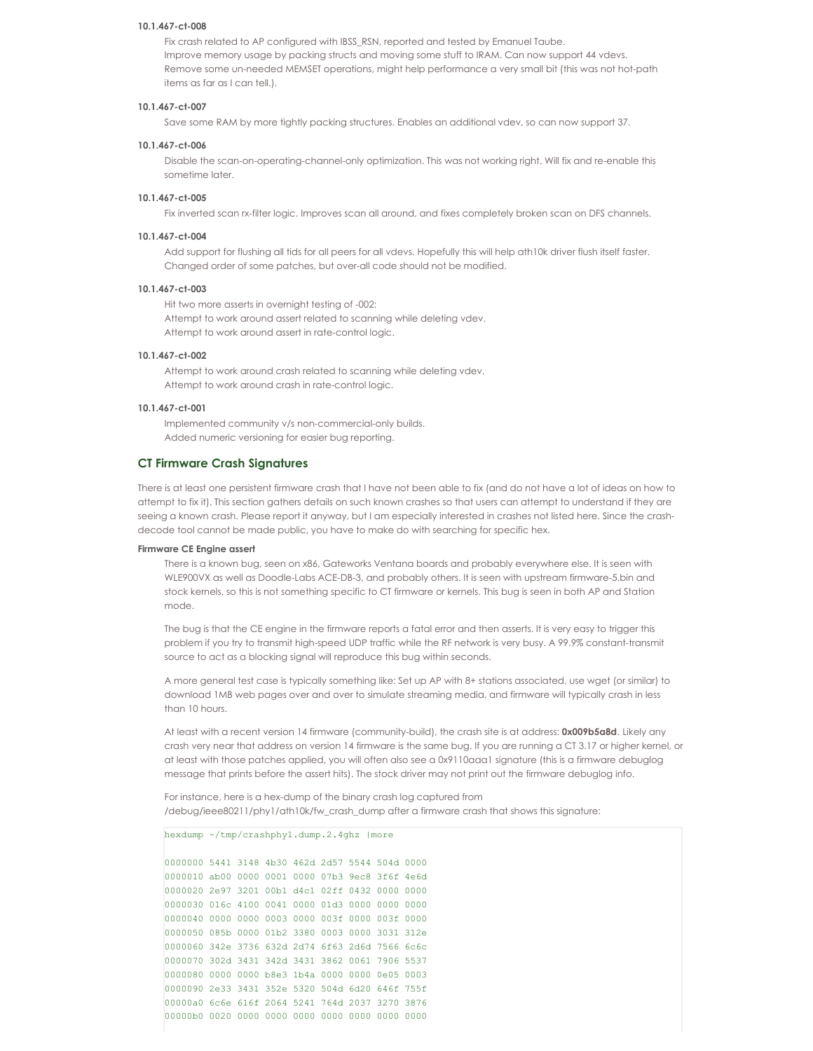#### **10.1.467-ct-008**

Fix crash related to AP configured with IBSS\_RSN, reported and tested by Emanuel Taube. Improve memory usage by packing structs and moving some stuff to IRAM. Can now support 44 vdevs. Remove some un-needed MEMSET operations, might help performance a very small bit (this was not hot-path items as far as I can tell.).

### **10.1.467-ct-007**

Save some RAM by more tightly packing structures. Enables an additional vdev, so can now support 37.

# **10.1.467-ct-006**

Disable the scan-on-operating-channel-only optimization. This was not working right. Will fix and re-enable this sometime later.

### **10.1.467-ct-005**

Fix inverted scan rx-filter logic. Improves scan all around, and fixes completely broken scan on DFS channels.

### **10.1.467-ct-004**

Add support for flushing all tids for all peers for all vdevs. Hopefully this will help ath10k driver flush itself faster. Changed order of some patches, but over-all code should not be modified.

### **10.1.467-ct-003**

Hit two more asserts in overnight testing of -002: Attempt to work around assert related to scanning while deleting vdev. Attempt to work around assert in rate-control logic.

### **10.1.467-ct-002**

Attempt to work around crash related to scanning while deleting vdev. Attempt to work around crash in rate-control logic.

### **10.1.467-ct-001**

Implemented community v/s non-commercial-only builds. Added numeric versioning for easier bug reporting.

# **CT Firmware Crash Signatures**

There is at least one persistent firmware crash that I have not been able to fix (and do not have a lot of ideas on how to attempt to fix it). This section gathers details on such known crashes so that users can attempt to understand if they are seeing a known crash. Please report it anyway, but I am especially interested in crashes not listed here. Since the crashdecode tool cannot be made public, you have to make do with searching for specific hex.

#### **Firmware CE Engine assert**

There is a known bug, seen on x86, Gateworks Ventana boards and probably everywhere else. It is seen with WLE900VX as well as Doodle-Labs ACE-DB-3, and probably others. It is seen with upstream firmware-5.bin and stock kernels, so this is not something specific to CT firmware or kernels. This bug is seen in both AP and Station mode.

The bug is that the CE engine in the firmware reports a fatal error and then asserts. It is very easy to trigger this problem if you try to transmit high-speed UDP traffic while the RF network is very busy. A 99.9% constant-transmit source to act as a blocking signal will reproduce this bug within seconds.

A more general test case is typically something like: Set up AP with 8+ stations associated, use wget (or similar) to download 1MB web pages over and over to simulate streaming media, and firmware will typically crash in less than 10 hours.

At least with a recent version 14 firmware (community-build), the crash site is at address: **0x009b5a8d**. Likely any crash very near that address on version 14 firmware is the same bug. If you are running a CT 3.17 or higher kernel, or at least with those patches applied, you will often also see a 0x9110aaa1 signature (this is a firmware debuglog message that prints before the assert hits). The stock driver may not print out the firmware debuglog info.

For instance, here is a hex-dump of the binary crash log captured from /debug/ieee80211/phy1/ath10k/fw\_crash\_dump after a firmware crash that shows this signature:

#### hexdump ~/tmp/crashphy1.dump.2.4ghz |more

 5441 3148 4b30 462d 2d57 5544 504d 0000 ab00 0000 0001 0000 07b3 9ec8 3f6f 4e6d 2e97 3201 00b1 d4c1 02ff 0432 0000 0000 016c 4100 0041 0000 01d3 0000 0000 0000 0000 0000 0003 0000 003f 0000 003f 0000 085b 0000 01b2 3380 0003 0000 3031 312e 342e 3736 632d 2d74 6f63 2d6d 7566 6c6c 302d 3431 342d 3431 3862 0061 7906 5537 0000 0000 b8e3 1b4a 0000 0000 0e05 0003 2e33 3431 352e 5320 504d 6d20 646f 755f 00000a0 6c6e 616f 2064 5241 764d 2037 3270 3876 00000b0 0020 0000 0000 0000 0000 0000 0000 0000